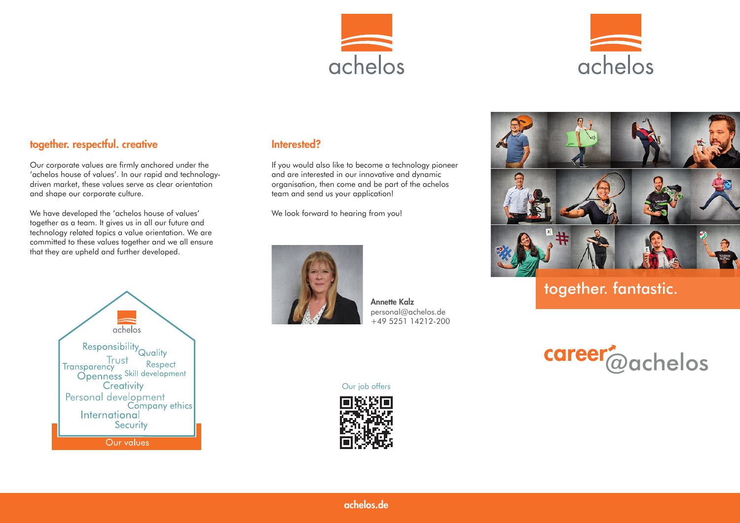



# together. respectful. creative

Our corporate values are firmly anchored under the 'achelos house of values'. In our rapid and technologydriven market, these values serve as clear orientation and shape our corporate culture.

We have developed the 'achelos house of values' together as a team. It gives us in all our future and technology related topics a value orientation. We are committed to these values together and we all ensure that they are upheld and further developed.



### Interested?

If you would also like to become a technology pioneer and are interested in our innovative and dynamic organisation, then come and be part of the achelos team and send us your application!

We look forward to hearing from you!



Annette Kalz personal@achelos.de +49 5251 14212-200

Our job offers





together. fantastic.

career<sup>2</sup>@achelos